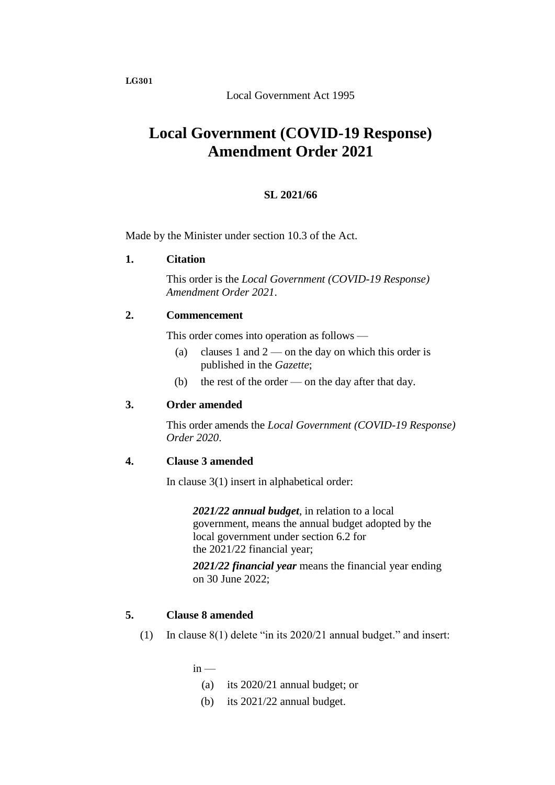Local Government Act 1995

# **Local Government (COVID-19 Response) Amendment Order 2021**

## **SL 2021/66**

Made by the Minister under section 10.3 of the Act.

### **1. Citation**

This order is the *Local Government (COVID-19 Response) Amendment Order 2021*.

## **2. Commencement**

This order comes into operation as follows —

- (a) clauses 1 and  $2$  on the day on which this order is published in the *Gazette*;
- (b) the rest of the order on the day after that day.

### **3. Order amended**

This order amends the *Local Government (COVID-19 Response) Order 2020*.

### **4. Clause 3 amended**

In clause 3(1) insert in alphabetical order:

*2021/22 annual budget*, in relation to a local government, means the annual budget adopted by the local government under section 6.2 for the 2021/22 financial year;

*2021/22 financial year* means the financial year ending on 30 June 2022;

### **5. Clause 8 amended**

(1) In clause 8(1) delete "in its 2020/21 annual budget." and insert:

 $in -$ 

- (a) its 2020/21 annual budget; or
- (b) its 2021/22 annual budget.

**LG301**